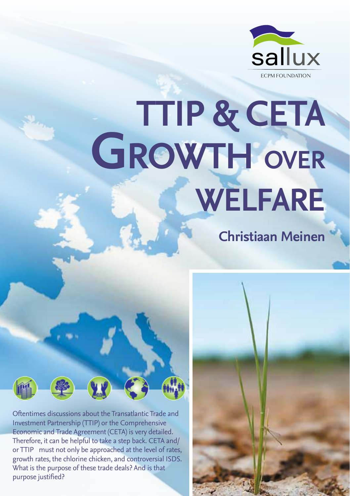

# **TTIP & CETA Growth over welfare**

**Christiaan Meinen**

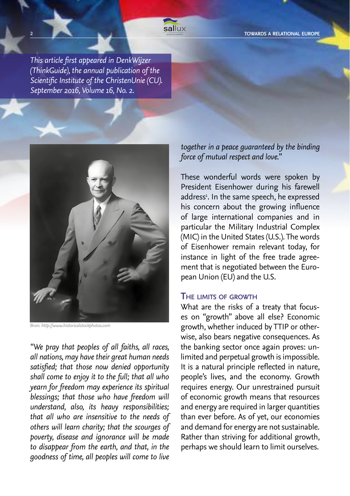**2 EQUARES ARELATION FOUND AT A RELATION FOUND A RELATION ALL EUROPE SALLUX SALLUX SALLUX SALLUX SALLUX SALLUX SALLUX SALLUX SALLUX SALLUX SALLUX SALLUX SALLUX SALLUX SALLUX SALLUX SALLUX SALLUX SALLUX SALLUX SALLUX SALLUX** 

*This article first appeared in DenkWijzer (ThinkGuide), the annual publication of the Scientific Institute of the ChristenUnie (CU). September 2016, Volume 16, No. 2.*



*Bron: http://www.historicalstockphotos.com*

*"We pray that peoples of all faiths, all races, all nations, may have their great human needs satisfied; that those now denied opportunity shall come to enjoy it to the full; that all who yearn for freedom may experience its spiritual blessings; that those who have freedom will understand, also, its heavy responsibilities; that all who are insensitive to the needs of others will learn charity; that the scourges of poverty, disease and ignorance will be made to disappear from the earth, and that, in the goodness of time, all peoples will come to live* 

*together in a peace guaranteed by the binding force of mutual respect and love.*"

These wonderful words were spoken by President Eisenhower during his farewell address<sup>1</sup>. In the same speech, he expressed his concern about the growing influence of large international companies and in particular the Military Industrial Complex (MIC) in the United States (U.S.). The words of Eisenhower remain relevant today, for instance in light of the free trade agreement that is negotiated between the European Union (EU) and the U.S.

#### **The limits of growth**

What are the risks of a treaty that focuses on "growth" above all else? Economic growth, whether induced by TTIP or otherwise, also bears negative consequences. As the banking sector once again proves: unlimited and perpetual growth is impossible. It is a natural principle reflected in nature, people's lives, and the economy. Growth requires energy. Our unrestrained pursuit of economic growth means that resources and energy are required in larger quantities than ever before. As of yet, our economies and demand for energy are not sustainable. Rather than striving for additional growth, perhaps we should learn to limit ourselves.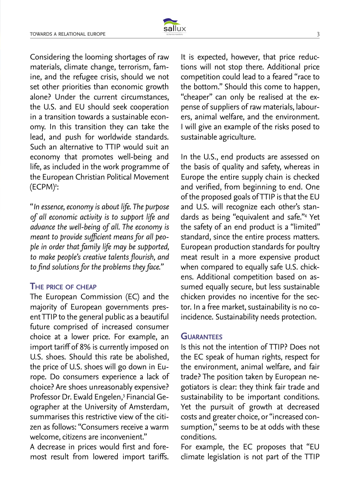

Considering the looming shortages of raw materials, climate change, terrorism, famine, and the refugee crisis, should we not set other priorities than economic growth alone? Under the current circumstances, the U.S. and EU should seek cooperation in a transition towards a sustainable economy. In this transition they can take the lead, and push for worldwide standards. Such an alternative to TTIP would suit an economy that promotes well-being and life, as included in the work programme of the European Christian Political Movement (ECPM)<del>'</del>:

"*In essence, economy is about life. The purpose of all economic activity is to support life and advance the well-being of all. The economy is meant to provide sufficient means for all people in order that family life may be supported, to make people's creative talents flourish, and to find solutions for the problems they face."*

# **The price of cheap**

The European Commission (EC) and the majority of European governments present TTIP to the general public as a beautiful future comprised of increased consumer choice at a lower price. For example, an import tariff of 8% is currently imposed on U.S. shoes. Should this rate be abolished, the price of U.S. shoes will go down in Europe. Do consumers experience a lack of choice? Are shoes unreasonably expensive? Professor Dr. Ewald Engelen,<sup>3</sup> Financial Geographer at the University of Amsterdam, summarises this restrictive view of the citizen as follows: "Consumers receive a warm welcome, citizens are inconvenient."

A decrease in prices would first and foremost result from lowered import tariffs. It is expected, however, that price reductions will not stop there. Additional price competition could lead to a feared "race to the bottom." Should this come to happen, "cheaper" can only be realised at the expense of suppliers of raw materials, labourers, animal welfare, and the environment. I will give an example of the risks posed to sustainable agriculture.

In the U.S., end products are assessed on the basis of quality and safety, whereas in Europe the entire supply chain is checked and verified, from beginning to end. One of the proposed goals of TTIP is that the EU and U.S. will recognize each other's standards as being "equivalent and safe."4 Yet the safety of an end product is a "limited" standard, since the entire process matters. European production standards for poultry meat result in a more expensive product when compared to equally safe U.S. chickens. Additional competition based on assumed equally secure, but less sustainable chicken provides no incentive for the sector. In a free market, sustainability is no coincidence. Sustainability needs protection.

# **Guarantees**

Is this not the intention of TTIP? Does not the EC speak of human rights, respect for the environment, animal welfare, and fair trade? The position taken by European negotiators is clear: they think fair trade and sustainability to be important conditions. Yet the pursuit of growth at decreased costs and greater choice, or "increased consumption," seems to be at odds with these conditions.

For example, the EC proposes that "EU climate legislation is not part of the TTIP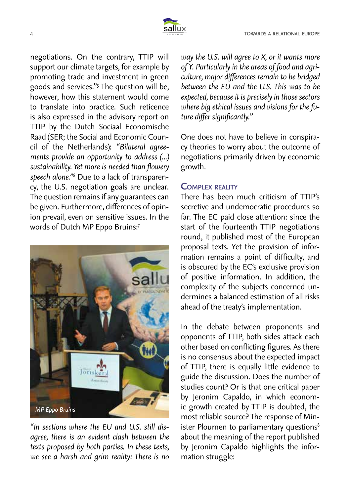negotiations. On the contrary, TTIP will support our climate targets, for example by promoting trade and investment in green goods and services."5 The question will be, however, how this statement would come to translate into practice. Such reticence is also expressed in the advisory report on TTIP by the Dutch Sociaal Economische Raad (SER; the Social and Economic Council of the Netherlands): *"Bilateral agreements provide an opportunity to address (...) sustainability. Yet more is needed than flowery speech alone."*<sup>6</sup> Due to a lack of transparency, the U.S. negotiation goals are unclear. The question remains if any guarantees can be given. Furthermore, differences of opinion prevail, even on sensitive issues. In the words of Dutch MP Eppo Bruins:7



*"In sections where the EU and U.S. still disagree, there is an evident clash between the texts proposed by both parties. In these texts, we see a harsh and grim reality: There is no* 

*way the U.S. will agree to X, or it wants more of Y. Particularly in the areas of food and agriculture, major differences remain to be bridged between the EU and the U.S. This was to be expected, because it is precisely in those sectors where big ethical issues and visions for the future differ significantly."*

One does not have to believe in conspiracy theories to worry about the outcome of negotiations primarily driven by economic growth.

# **Complex reality**

There has been much criticism of TTIP's secretive and undemocratic procedures so far. The EC paid close attention: since the start of the fourteenth TTIP negotiations round, it published most of the European proposal texts. Yet the provision of information remains a point of difficulty, and is obscured by the EC's exclusive provision of positive information. In addition, the complexity of the subjects concerned undermines a balanced estimation of all risks ahead of the treaty's implementation.

In the debate between proponents and opponents of TTIP, both sides attack each other based on conflicting figures. As there is no consensus about the expected impact of TTIP, there is equally little evidence to guide the discussion. Does the number of studies count? Or is that one critical paper by Jeronim Capaldo, in which economic growth created by TTIP is doubted, the most reliable source? The response of Minister Ploumen to parliamentary questions<sup>8</sup> about the meaning of the report published by Jeronim Capaldo highlights the information struggle: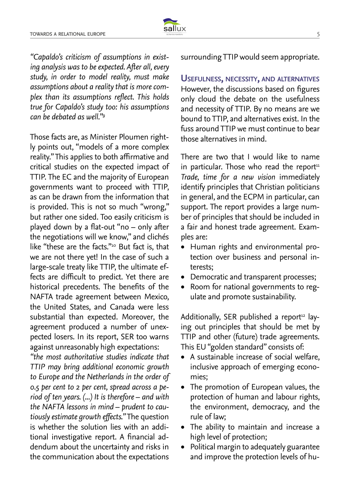

*"Capaldo's criticism of assumptions in existing analysis was to be expected. After all, every study, in order to model reality, must make assumptions about a reality that is more complex than its assumptions reflect. This holds true for Capaldo's study too: his assumptions can be debated as well."9*

Those facts are, as Minister Ploumen rightly points out, "models of a more complex reality." This applies to both affirmative and critical studies on the expected impact of TTIP. The EC and the majority of European governments want to proceed with TTIP, as can be drawn from the information that is provided. This is not so much "wrong," but rather one sided. Too easily criticism is played down by a flat-out "no – only after the negotiations will we know," and clichés like "these are the facts."10 But fact is, that we are not there yet! In the case of such a large-scale treaty like TTIP, the ultimate effects are difficult to predict. Yet there are historical precedents. The benefits of the NAFTA trade agreement between Mexico, the United States, and Canada were less substantial than expected. Moreover, the agreement produced a number of unexpected losers. In its report, SER too warns against unreasonably high expectations:

*"the most authoritative studies indicate that TTIP may bring additional economic growth to Europe and the Netherlands in the order of 0.5 per cent to 2 per cent, spread across a period of ten years. (...) It is therefore – and with the NAFTA lessons in mind – prudent to cautiously estimate growth effects."* The question is whether the solution lies with an additional investigative report. A financial addendum about the uncertainty and risks in the communication about the expectations

surrounding TTIP would seem appropriate.

**Usefulness, necessity, and alternatives** However, the discussions based on figures only cloud the debate on the usefulness and necessity of TTIP. By no means are we bound to TTIP, and alternatives exist. In the fuss around TTIP we must continue to bear those alternatives in mind.

There are two that I would like to name in particular. Those who read the report<sup>11</sup> *Trade, time for a new vision* immediately identify principles that Christian politicians in general, and the ECPM in particular, can support. The report provides a large number of principles that should be included in a fair and honest trade agreement. Examples are:

- • Human rights and environmental protection over business and personal interests;
- Democratic and transparent processes;
- • Room for national governments to regulate and promote sustainability.

Additionally, SER published a report<sup>12</sup> laying out principles that should be met by TTIP and other (future) trade agreements. This EU "golden standard" consists of:

- A sustainable increase of social welfare, inclusive approach of emerging economies;
- The promotion of European values, the protection of human and labour rights, the environment, democracy, and the rule of law;
- • The ability to maintain and increase a high level of protection;
- • Political margin to adequately guarantee and improve the protection levels of hu-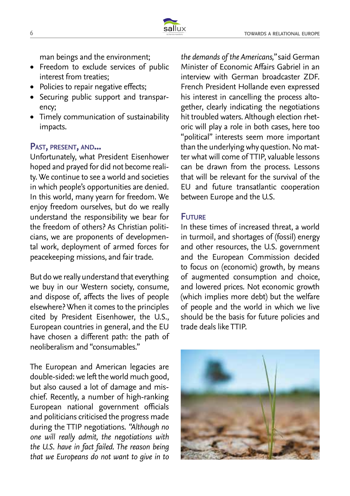

man beings and the environment;

- Freedom to exclude services of public interest from treaties;
- Policies to repair negative effects:
- • Securing public support and transparency;
- • Timely communication of sustainability impacts.

# **Past, present, and...**

Unfortunately, what President Eisenhower hoped and prayed for did not become reality. We continue to see a world and societies in which people's opportunities are denied. In this world, many yearn for freedom. We enjoy freedom ourselves, but do we really understand the responsibility we bear for the freedom of others? As Christian politicians, we are proponents of developmental work, deployment of armed forces for peacekeeping missions, and fair trade.

But do we really understand that everything we buy in our Western society, consume, and dispose of, affects the lives of people elsewhere? When it comes to the principles cited by President Eisenhower, the U.S., European countries in general, and the EU have chosen a different path: the path of neoliberalism and "consumables."

The European and American legacies are double-sided: we left the world much good, but also caused a lot of damage and mischief. Recently, a number of high-ranking European national government officials and politicians criticised the progress made during the TTIP negotiations. *"Although no one will really admit, the negotiations with the U.S. have in fact failed. The reason being that we Europeans do not want to give in to*  *the demands of the Americans,"* said German Minister of Economic Affairs Gabriel in an interview with German broadcaster ZDF. French President Hollande even expressed his interest in cancelling the process altogether, clearly indicating the negotiations hit troubled waters. Although election rhetoric will play a role in both cases, here too "political" interests seem more important than the underlying why question. No matter what will come of TTIP, valuable lessons can be drawn from the process. Lessons that will be relevant for the survival of the EU and future transatlantic cooperation between Europe and the U.S.

# **Future**

In these times of increased threat, a world in turmoil, and shortages of (fossil) energy and other resources, the U.S. government and the European Commission decided to focus on (economic) growth, by means of augmented consumption and choice, and lowered prices. Not economic growth (which implies more debt) but the welfare of people and the world in which we live should be the basis for future policies and trade deals like TTIP.

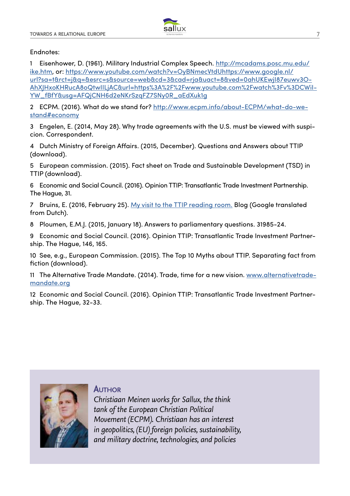

#### Endnotes:

1 Eisenhower, D. (1961). Military Industrial Complex Speech. http://mcadams.posc.mu.edu/ ike.htm, or: https://www.youtube.com/watch?v=OyBNmecVtdUhttps://www.google.nl/ url?sa=t&rct=j&q=&esrc=s&source=web&cd=3&cad=rja&uact=8&ved=0ahUKEwjI87euwv3O-AhXJHxoKHRucA8oQtwIILjAC&url=https%3A%2F%2Fwww.youtube.com%2Fwatch%3Fv%3DCWiI-YW\_fBfY&usg=AFQjCNH6d2eNKrSzqFZ7SNy0R\_aEdXuk1g

2 ECPM. (2016). What do we stand for? http://www.ecpm.info/about-ECPM/what-do-westand#economy

3 Engelen, E. (2014, May 28). Why trade agreements with the U.S. must be viewed with suspicion. Correspondent.

4 Dutch Ministry of Foreign Affairs. (2015, December). Questions and Answers about TTIP (download).

5 European commission. (2015). Fact sheet on Trade and Sustainable Development (TSD) in TTIP (download).

6 Economic and Social Council. (2016). Opinion TTIP: Transatlantic Trade Investment Partnership. The Hague, 31.

7 Bruins, E. (2016, February 25). My visit to the TTIP reading room. Blog (Google translated from Dutch).

8 Ploumen, E.M.J. (2015, January 18). Answers to parliamentary questions. 31985-24.

9 Economic and Social Council. (2016). Opinion TTIP: Transatlantic Trade Investment Partnership. The Hague, 146, 165.

10 See, e.g., European Commission. (2015). The Top 10 Myths about TTIP. Separating fact from fiction (download).

11 The Alternative Trade Mandate. (2014). Trade, time for a new vision. www.alternativetrademandate.org

12 Economic and Social Council. (2016). Opinion TTIP: Transatlantic Trade Investment Partnership. The Hague, 32-33.



**Author**

*Christiaan Meinen works for Sallux, the think tank of the European Christian Political Movement (ECPM). Christiaan has an interest in geopolitics, (EU) foreign policies, sustainability, and military doctrine, technologies, and policies*